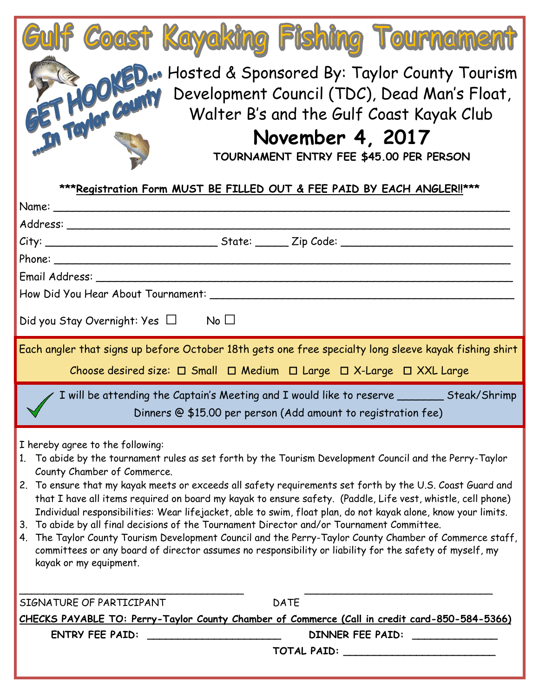| Gulf Coast Kayaking Fishing Tournament                                                                                                                                                                                                                                                                                                                                                                                                                                                                                                                                                                                                                                                                                                                                                                                                                                    |
|---------------------------------------------------------------------------------------------------------------------------------------------------------------------------------------------------------------------------------------------------------------------------------------------------------------------------------------------------------------------------------------------------------------------------------------------------------------------------------------------------------------------------------------------------------------------------------------------------------------------------------------------------------------------------------------------------------------------------------------------------------------------------------------------------------------------------------------------------------------------------|
| CD. Hosted & Sponsored By: Taylor County Tourism<br>Development Council (TDC), Dead Man's Float,<br>Walter B's and the Gulf Coast Kayak Club<br>November 4, 2017                                                                                                                                                                                                                                                                                                                                                                                                                                                                                                                                                                                                                                                                                                          |
| TOURNAMENT ENTRY FEE \$45.00 PER PERSON                                                                                                                                                                                                                                                                                                                                                                                                                                                                                                                                                                                                                                                                                                                                                                                                                                   |
|                                                                                                                                                                                                                                                                                                                                                                                                                                                                                                                                                                                                                                                                                                                                                                                                                                                                           |
| ***Registration Form MUST BE FILLED OUT & FEE PAID BY EACH ANGLER!!***                                                                                                                                                                                                                                                                                                                                                                                                                                                                                                                                                                                                                                                                                                                                                                                                    |
| Name: Name and the state of the state of the state of the state of the state of the state of the state of the state of the state of the state of the state of the state of the state of the state of the state of the state of                                                                                                                                                                                                                                                                                                                                                                                                                                                                                                                                                                                                                                            |
|                                                                                                                                                                                                                                                                                                                                                                                                                                                                                                                                                                                                                                                                                                                                                                                                                                                                           |
|                                                                                                                                                                                                                                                                                                                                                                                                                                                                                                                                                                                                                                                                                                                                                                                                                                                                           |
|                                                                                                                                                                                                                                                                                                                                                                                                                                                                                                                                                                                                                                                                                                                                                                                                                                                                           |
|                                                                                                                                                                                                                                                                                                                                                                                                                                                                                                                                                                                                                                                                                                                                                                                                                                                                           |
| Did you Stay Overnight: Yes $\Box$ No $\Box$                                                                                                                                                                                                                                                                                                                                                                                                                                                                                                                                                                                                                                                                                                                                                                                                                              |
| Each angler that signs up before October 18th gets one free specialty long sleeve kayak fishing shirt                                                                                                                                                                                                                                                                                                                                                                                                                                                                                                                                                                                                                                                                                                                                                                     |
| Choose desired size: □ Small □ Medium □ Large □ X-Large □ XXL Large                                                                                                                                                                                                                                                                                                                                                                                                                                                                                                                                                                                                                                                                                                                                                                                                       |
| I will be attending the Captain's Meeting and I would like to reserve ________ Steak/Shrimp                                                                                                                                                                                                                                                                                                                                                                                                                                                                                                                                                                                                                                                                                                                                                                               |
| Dinners @ \$15.00 per person (Add amount to registration fee)                                                                                                                                                                                                                                                                                                                                                                                                                                                                                                                                                                                                                                                                                                                                                                                                             |
| I hereby agree to the following:<br>1. To abide by the tournament rules as set forth by the Tourism Development Council and the Perry-Taylor<br>County Chamber of Commerce.<br>2. To ensure that my kayak meets or exceeds all safety requirements set forth by the U.S. Coast Guard and<br>that I have all items required on board my kayak to ensure safety. (Paddle, Life vest, whistle, cell phone)<br>Individual responsibilities: Wear lifejacket, able to swim, float plan, do not kayak alone, know your limits.<br>To abide by all final decisions of the Tournament Director and/or Tournament Committee.<br>3.<br>4. The Taylor County Tourism Development Council and the Perry-Taylor County Chamber of Commerce staff,<br>committees or any board of director assumes no responsibility or liability for the safety of myself, my<br>kayak or my equipment. |
| <b>DATE</b><br>SIGNATURE OF PARTICIPANT                                                                                                                                                                                                                                                                                                                                                                                                                                                                                                                                                                                                                                                                                                                                                                                                                                   |
| CHECKS PAYABLE TO: Perry-Taylor County Chamber of Commerce (Call in credit card-850-584-5366)                                                                                                                                                                                                                                                                                                                                                                                                                                                                                                                                                                                                                                                                                                                                                                             |
| <b>ENTRY FEE PAID:</b><br>DINNER FEE PAID:                                                                                                                                                                                                                                                                                                                                                                                                                                                                                                                                                                                                                                                                                                                                                                                                                                |
| <b>TOTAL PAID:</b> TOTAL PAID:                                                                                                                                                                                                                                                                                                                                                                                                                                                                                                                                                                                                                                                                                                                                                                                                                                            |
|                                                                                                                                                                                                                                                                                                                                                                                                                                                                                                                                                                                                                                                                                                                                                                                                                                                                           |